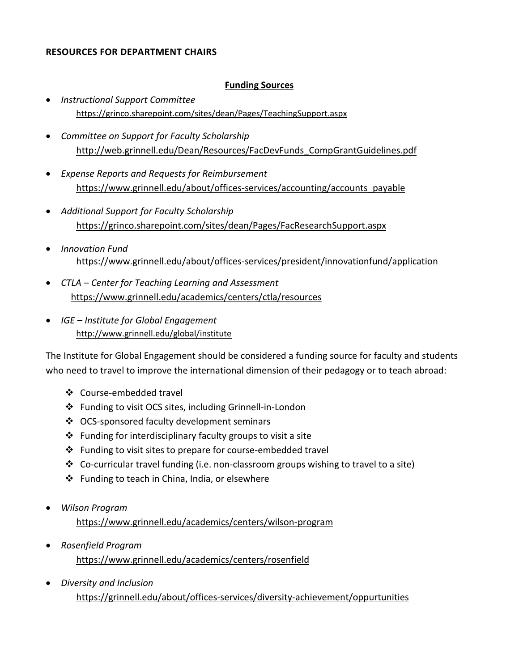### **RESOURCES FOR DEPARTMENT CHAIRS**

#### **Funding Sources**

- *Instructional Support Committee* <https://grinco.sharepoint.com/sites/dean/Pages/TeachingSupport.aspx>
- *Committee on Support for Faculty Scholarship* [http://web.grinnell.edu/Dean/Resources/FacDevFunds\\_CompGrantGuidelines.pdf](http://web.grinnell.edu/Dean/Resources/FacDevFunds_CompGrantGuidelines.pdf)
- *Expense Reports and Requests for Reimbursement* [https://www.grinnell.edu/about/offices-services/accounting/accounts\\_payable](https://www.grinnell.edu/about/offices-services/accounting/accounts_payable)
- *Additional Support for Faculty Scholarship* <https://grinco.sharepoint.com/sites/dean/Pages/FacResearchSupport.aspx>
- *Innovation Fund* <https://www.grinnell.edu/about/offices-services/president/innovationfund/application>
- *CTLA – Center for Teaching Learning and Assessment* <https://www.grinnell.edu/academics/centers/ctla/resources>
- *IGE – Institute for Global Engagement* <http://www.grinnell.edu/global/institute>

The Institute for Global Engagement should be considered a funding source for faculty and students who need to travel to improve the international dimension of their pedagogy or to teach abroad:

- ❖ Course-embedded travel
- ❖ Funding to visit OCS sites, including Grinnell-in-London
- ❖ OCS-sponsored faculty development seminars
- $\triangle$  Funding for interdisciplinary faculty groups to visit a site
- $\cdot \cdot$  Funding to visit sites to prepare for course-embedded travel
- $\clubsuit$  Co-curricular travel funding (i.e. non-classroom groups wishing to travel to a site)
- ❖ Funding to teach in China, India, or elsewhere
- *Wilson Program*

https://www.grinnell.edu/academics/centers/wilson-program

- *Rosenfield Program* https://www.grinnell.edu/academics/centers/rosenfield
- *Diversity and Inclusion* https://grinnell.edu/about/offices-services/diversity-achievement/oppurtunities